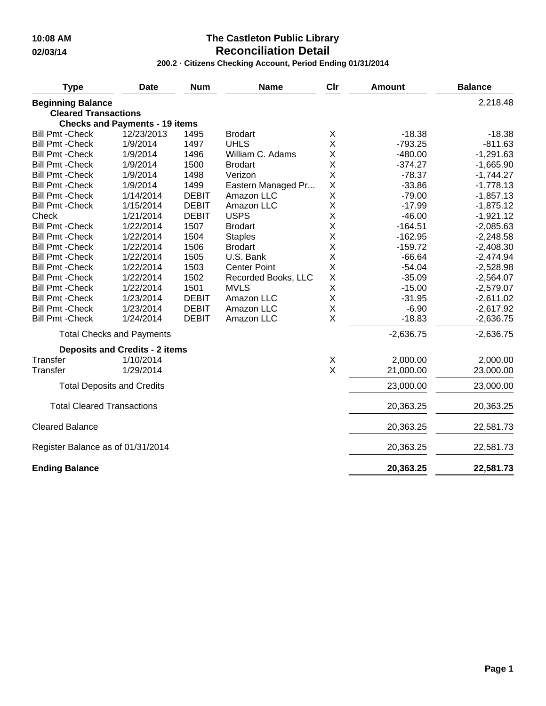### **10:08 AM The Castleton Public Library 02/03/14 Reconciliation Detail**

**200.2 · Citizens Checking Account, Period Ending 01/31/2014**

| <b>Type</b>                                             | <b>Date</b>                           | <b>Num</b>   | <b>Name</b>         | Clr     | <b>Amount</b> | <b>Balance</b> |
|---------------------------------------------------------|---------------------------------------|--------------|---------------------|---------|---------------|----------------|
| <b>Beginning Balance</b><br><b>Cleared Transactions</b> |                                       |              |                     |         |               | 2,218.48       |
|                                                         | <b>Checks and Payments - 19 items</b> |              |                     |         |               |                |
| <b>Bill Pmt - Check</b>                                 | 12/23/2013                            | 1495         | <b>Brodart</b>      | Χ       | $-18.38$      | $-18.38$       |
| <b>Bill Pmt - Check</b>                                 | 1/9/2014                              | 1497         | <b>UHLS</b>         | X       | $-793.25$     | $-811.63$      |
| <b>Bill Pmt - Check</b>                                 | 1/9/2014                              | 1496         | William C. Adams    | Χ       | $-480.00$     | $-1,291.63$    |
| <b>Bill Pmt - Check</b>                                 | 1/9/2014                              | 1500         | <b>Brodart</b>      | X       | $-374.27$     | $-1,665.90$    |
| <b>Bill Pmt - Check</b>                                 | 1/9/2014                              | 1498         | Verizon             | X       | $-78.37$      | $-1,744.27$    |
| <b>Bill Pmt - Check</b>                                 | 1/9/2014                              | 1499         | Eastern Managed Pr  | X       | $-33.86$      | $-1,778.13$    |
| <b>Bill Pmt - Check</b>                                 | 1/14/2014                             | <b>DEBIT</b> | Amazon LLC          | X       | $-79.00$      | $-1,857.13$    |
| <b>Bill Pmt - Check</b>                                 | 1/15/2014                             | <b>DEBIT</b> | Amazon LLC          | Χ       | $-17.99$      | $-1,875.12$    |
| Check                                                   | 1/21/2014                             | <b>DEBIT</b> | <b>USPS</b>         | Χ       | $-46.00$      | $-1,921.12$    |
| <b>Bill Pmt - Check</b>                                 | 1/22/2014                             | 1507         | <b>Brodart</b>      | Χ       | $-164.51$     | $-2,085.63$    |
| <b>Bill Pmt - Check</b>                                 | 1/22/2014                             | 1504         | <b>Staples</b>      | X       | $-162.95$     | $-2,248.58$    |
| <b>Bill Pmt - Check</b>                                 | 1/22/2014                             | 1506         | <b>Brodart</b>      | X       | $-159.72$     | $-2,408.30$    |
| <b>Bill Pmt - Check</b>                                 | 1/22/2014                             | 1505         | U.S. Bank           | X       | $-66.64$      | $-2,474.94$    |
| <b>Bill Pmt - Check</b>                                 | 1/22/2014                             | 1503         | <b>Center Point</b> | X       | $-54.04$      | $-2,528.98$    |
| <b>Bill Pmt - Check</b>                                 | 1/22/2014                             | 1502         | Recorded Books, LLC | $\sf X$ | $-35.09$      | $-2,564.07$    |
| <b>Bill Pmt - Check</b>                                 | 1/22/2014                             | 1501         | <b>MVLS</b>         | Χ       | $-15.00$      | $-2,579.07$    |
| <b>Bill Pmt - Check</b>                                 | 1/23/2014                             | <b>DEBIT</b> | Amazon LLC          | X       | $-31.95$      | $-2,611.02$    |
| <b>Bill Pmt - Check</b>                                 | 1/23/2014                             | <b>DEBIT</b> | Amazon LLC          | X       | $-6.90$       | $-2,617.92$    |
| <b>Bill Pmt - Check</b>                                 | 1/24/2014                             | <b>DEBIT</b> | Amazon LLC          | X       | $-18.83$      | $-2,636.75$    |
|                                                         | <b>Total Checks and Payments</b>      |              |                     |         | $-2,636.75$   | $-2,636.75$    |
|                                                         | <b>Deposits and Credits - 2 items</b> |              |                     |         |               |                |
| Transfer                                                | 1/10/2014                             |              |                     | X       | 2,000.00      | 2,000.00       |
| Transfer                                                | 1/29/2014                             |              |                     | X       | 21,000.00     | 23,000.00      |
|                                                         | <b>Total Deposits and Credits</b>     |              |                     |         | 23,000.00     | 23,000.00      |
| <b>Total Cleared Transactions</b>                       |                                       |              |                     |         | 20,363.25     | 20,363.25      |
| <b>Cleared Balance</b>                                  |                                       |              |                     |         | 20,363.25     | 22,581.73      |
| Register Balance as of 01/31/2014                       |                                       |              |                     |         | 20,363.25     | 22,581.73      |
| <b>Ending Balance</b>                                   |                                       |              |                     |         | 20,363.25     | 22,581.73      |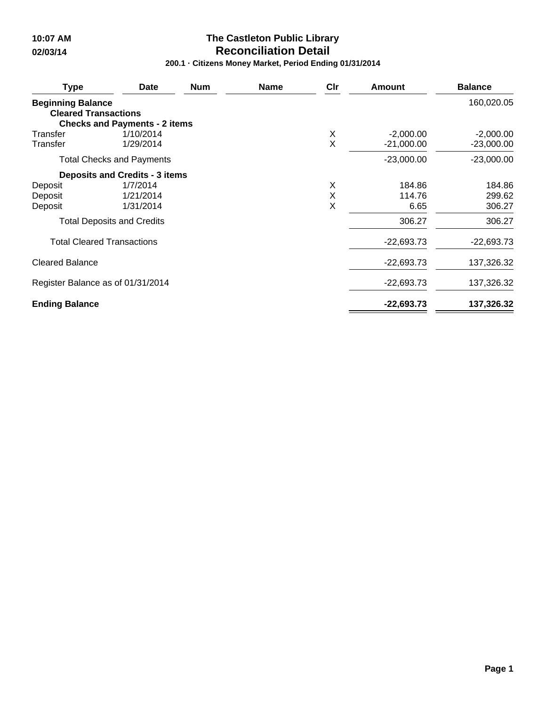# **10:07 AM The Castleton Public Library 02/03/14 Reconciliation Detail**

**200.1 · Citizens Money Market, Period Ending 01/31/2014**

| <b>Type</b>                                             | <b>Date</b>                           | <b>Num</b> | <b>Name</b> | Cir | <b>Amount</b> | <b>Balance</b> |
|---------------------------------------------------------|---------------------------------------|------------|-------------|-----|---------------|----------------|
| <b>Beginning Balance</b><br><b>Cleared Transactions</b> | <b>Checks and Payments - 2 items</b>  |            |             |     |               | 160,020.05     |
| Transfer                                                | 1/10/2014                             |            |             | Χ   | $-2,000.00$   | $-2,000.00$    |
| Transfer                                                | 1/29/2014                             |            |             | X   | $-21,000.00$  | $-23,000.00$   |
|                                                         | <b>Total Checks and Payments</b>      |            |             |     | $-23,000.00$  | $-23,000.00$   |
|                                                         | <b>Deposits and Credits - 3 items</b> |            |             |     |               |                |
| Deposit                                                 | 1/7/2014                              |            |             | X   | 184.86        | 184.86         |
| Deposit                                                 | 1/21/2014                             |            |             | X   | 114.76        | 299.62         |
| Deposit                                                 | 1/31/2014                             |            |             | X   | 6.65          | 306.27         |
|                                                         | <b>Total Deposits and Credits</b>     |            |             |     | 306.27        | 306.27         |
| <b>Total Cleared Transactions</b>                       |                                       |            |             |     | $-22,693.73$  | $-22,693.73$   |
| <b>Cleared Balance</b>                                  |                                       |            |             |     | $-22,693.73$  | 137,326.32     |
| Register Balance as of 01/31/2014                       |                                       |            |             |     | $-22,693.73$  | 137,326.32     |
| <b>Ending Balance</b>                                   |                                       |            |             |     | $-22,693.73$  | 137,326.32     |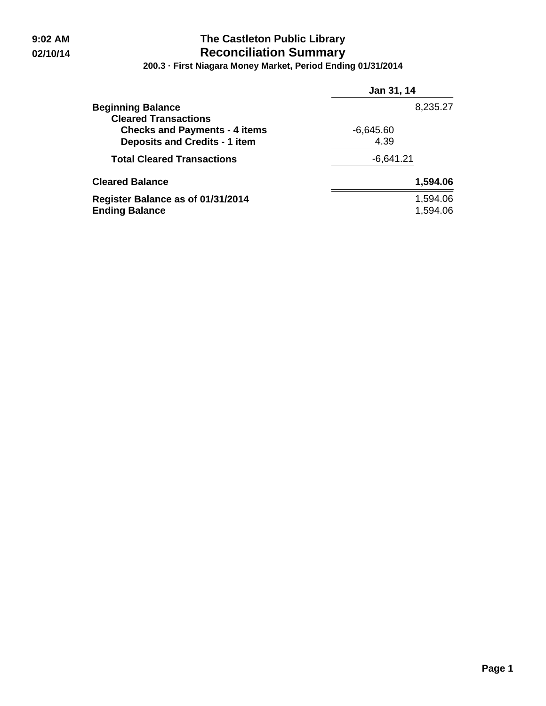## **9:02 AM The Castleton Public Library 02/10/14 Reconciliation Summary**

**200.3 · First Niagara Money Market, Period Ending 01/31/2014**

|                                      | Jan 31, 14  |
|--------------------------------------|-------------|
| <b>Beginning Balance</b>             | 8,235.27    |
| <b>Cleared Transactions</b>          |             |
| <b>Checks and Payments - 4 items</b> | $-6,645.60$ |
| <b>Deposits and Credits - 1 item</b> | 4.39        |
| <b>Total Cleared Transactions</b>    | $-6,641.21$ |
| <b>Cleared Balance</b>               | 1,594.06    |
| Register Balance as of 01/31/2014    | 1,594.06    |
| <b>Ending Balance</b>                | 1,594.06    |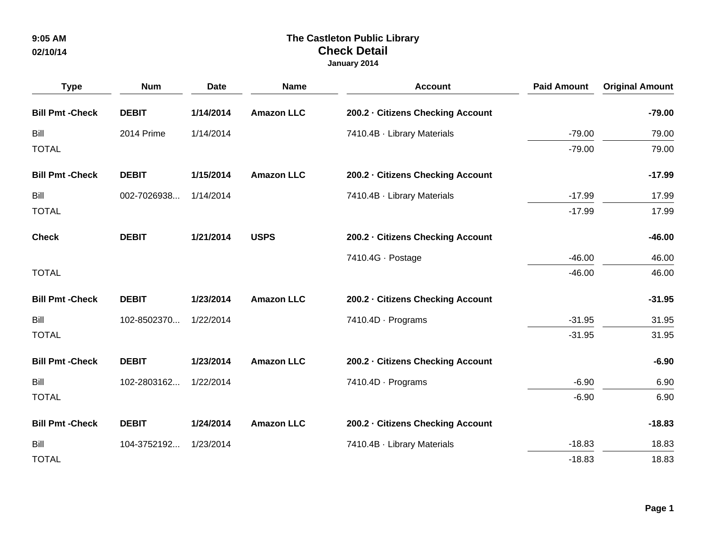| <b>Type</b>             | <b>Num</b>   | <b>Date</b> | <b>Name</b>       | <b>Account</b>                    | <b>Paid Amount</b> | <b>Original Amount</b> |
|-------------------------|--------------|-------------|-------------------|-----------------------------------|--------------------|------------------------|
| <b>Bill Pmt - Check</b> | <b>DEBIT</b> | 1/14/2014   | <b>Amazon LLC</b> | 200.2 - Citizens Checking Account |                    | $-79.00$               |
| Bill                    | 2014 Prime   | 1/14/2014   |                   | 7410.4B · Library Materials       | $-79.00$           | 79.00                  |
| <b>TOTAL</b>            |              |             |                   |                                   | $-79.00$           | 79.00                  |
| <b>Bill Pmt - Check</b> | <b>DEBIT</b> | 1/15/2014   | <b>Amazon LLC</b> | 200.2 - Citizens Checking Account |                    | $-17.99$               |
| Bill                    | 002-7026938  | 1/14/2014   |                   | 7410.4B · Library Materials       | $-17.99$           | 17.99                  |
| <b>TOTAL</b>            |              |             |                   |                                   | $-17.99$           | 17.99                  |
| <b>Check</b>            | <b>DEBIT</b> | 1/21/2014   | <b>USPS</b>       | 200.2 · Citizens Checking Account |                    | $-46.00$               |
|                         |              |             |                   | 7410.4G · Postage                 | $-46.00$           | 46.00                  |
| <b>TOTAL</b>            |              |             |                   |                                   | $-46.00$           | 46.00                  |
| <b>Bill Pmt - Check</b> | <b>DEBIT</b> | 1/23/2014   | <b>Amazon LLC</b> | 200.2 · Citizens Checking Account |                    | $-31.95$               |
| Bill                    | 102-8502370  | 1/22/2014   |                   | 7410.4D · Programs                | $-31.95$           | 31.95                  |
| <b>TOTAL</b>            |              |             |                   |                                   | $-31.95$           | 31.95                  |
| <b>Bill Pmt - Check</b> | <b>DEBIT</b> | 1/23/2014   | <b>Amazon LLC</b> | 200.2 - Citizens Checking Account |                    | $-6.90$                |
| Bill                    | 102-2803162  | 1/22/2014   |                   | 7410.4D · Programs                | $-6.90$            | 6.90                   |
| <b>TOTAL</b>            |              |             |                   |                                   | $-6.90$            | 6.90                   |
| <b>Bill Pmt - Check</b> | <b>DEBIT</b> | 1/24/2014   | <b>Amazon LLC</b> | 200.2 - Citizens Checking Account |                    | $-18.83$               |
| <b>Bill</b>             | 104-3752192  | 1/23/2014   |                   | 7410.4B · Library Materials       | $-18.83$           | 18.83                  |
| <b>TOTAL</b>            |              |             |                   |                                   | $-18.83$           | 18.83                  |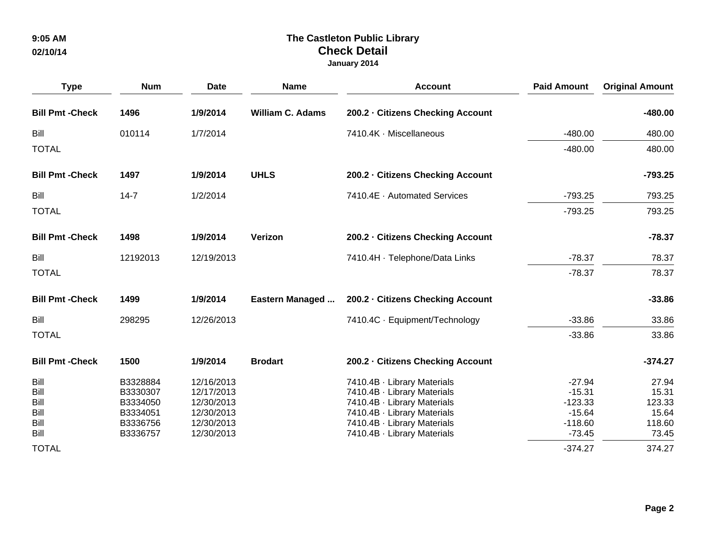| <b>Type</b>                                  | <b>Num</b>                                                           | <b>Date</b>                                                                      | <b>Name</b>             | <b>Account</b>                                                                                                                                                                         | <b>Paid Amount</b>                                                     | <b>Original Amount</b>                               |
|----------------------------------------------|----------------------------------------------------------------------|----------------------------------------------------------------------------------|-------------------------|----------------------------------------------------------------------------------------------------------------------------------------------------------------------------------------|------------------------------------------------------------------------|------------------------------------------------------|
| <b>Bill Pmt - Check</b>                      | 1496                                                                 | 1/9/2014                                                                         | <b>William C. Adams</b> | 200.2 - Citizens Checking Account                                                                                                                                                      |                                                                        | $-480.00$                                            |
| Bill                                         | 010114                                                               | 1/7/2014                                                                         |                         | 7410.4K · Miscellaneous                                                                                                                                                                | $-480.00$                                                              | 480.00                                               |
| <b>TOTAL</b>                                 |                                                                      |                                                                                  |                         |                                                                                                                                                                                        | $-480.00$                                                              | 480.00                                               |
| <b>Bill Pmt - Check</b>                      | 1497                                                                 | 1/9/2014                                                                         | <b>UHLS</b>             | 200.2 - Citizens Checking Account                                                                                                                                                      |                                                                        | $-793.25$                                            |
| Bill                                         | $14 - 7$                                                             | 1/2/2014                                                                         |                         | 7410.4E · Automated Services                                                                                                                                                           | $-793.25$                                                              | 793.25                                               |
| <b>TOTAL</b>                                 |                                                                      |                                                                                  |                         |                                                                                                                                                                                        | $-793.25$                                                              | 793.25                                               |
| <b>Bill Pmt - Check</b>                      | 1498                                                                 | 1/9/2014                                                                         | Verizon                 | 200.2 - Citizens Checking Account                                                                                                                                                      |                                                                        | $-78.37$                                             |
| Bill                                         | 12192013                                                             | 12/19/2013                                                                       |                         | 7410.4H · Telephone/Data Links                                                                                                                                                         | $-78.37$                                                               | 78.37                                                |
| <b>TOTAL</b>                                 |                                                                      |                                                                                  |                         |                                                                                                                                                                                        | $-78.37$                                                               | 78.37                                                |
| <b>Bill Pmt - Check</b>                      | 1499                                                                 | 1/9/2014                                                                         | Eastern Managed         | 200.2 · Citizens Checking Account                                                                                                                                                      |                                                                        | $-33.86$                                             |
| Bill                                         | 298295                                                               | 12/26/2013                                                                       |                         | 7410.4C · Equipment/Technology                                                                                                                                                         | $-33.86$                                                               | 33.86                                                |
| <b>TOTAL</b>                                 |                                                                      |                                                                                  |                         |                                                                                                                                                                                        | $-33.86$                                                               | 33.86                                                |
| <b>Bill Pmt - Check</b>                      | 1500                                                                 | 1/9/2014                                                                         | <b>Brodart</b>          | 200.2 - Citizens Checking Account                                                                                                                                                      |                                                                        | $-374.27$                                            |
| Bill<br>Bill<br>Bill<br>Bill<br>Bill<br>Bill | B3328884<br>B3330307<br>B3334050<br>B3334051<br>B3336756<br>B3336757 | 12/16/2013<br>12/17/2013<br>12/30/2013<br>12/30/2013<br>12/30/2013<br>12/30/2013 |                         | 7410.4B · Library Materials<br>7410.4B · Library Materials<br>7410.4B · Library Materials<br>7410.4B · Library Materials<br>7410.4B · Library Materials<br>7410.4B · Library Materials | $-27.94$<br>$-15.31$<br>$-123.33$<br>$-15.64$<br>$-118.60$<br>$-73.45$ | 27.94<br>15.31<br>123.33<br>15.64<br>118.60<br>73.45 |
| <b>TOTAL</b>                                 |                                                                      |                                                                                  |                         |                                                                                                                                                                                        | $-374.27$                                                              | 374.27                                               |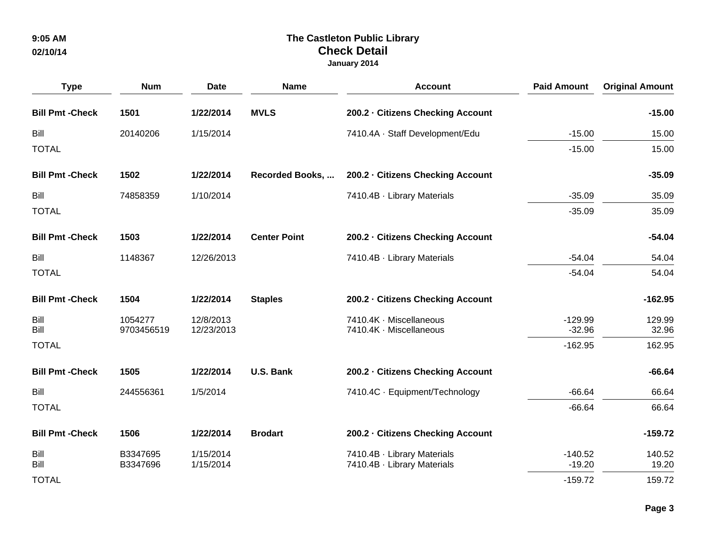| <b>Type</b>             | <b>Num</b> | <b>Date</b> | <b>Name</b>             | <b>Account</b>                    | <b>Paid Amount</b> | <b>Original Amount</b> |
|-------------------------|------------|-------------|-------------------------|-----------------------------------|--------------------|------------------------|
| <b>Bill Pmt - Check</b> | 1501       | 1/22/2014   | <b>MVLS</b>             | 200.2 - Citizens Checking Account |                    | $-15.00$               |
| Bill                    | 20140206   | 1/15/2014   |                         | 7410.4A · Staff Development/Edu   | $-15.00$           | 15.00                  |
| <b>TOTAL</b>            |            |             |                         |                                   | $-15.00$           | 15.00                  |
| <b>Bill Pmt - Check</b> | 1502       | 1/22/2014   | <b>Recorded Books, </b> | 200.2 - Citizens Checking Account |                    | $-35.09$               |
| Bill                    | 74858359   | 1/10/2014   |                         | 7410.4B · Library Materials       | $-35.09$           | 35.09                  |
| <b>TOTAL</b>            |            |             |                         |                                   | $-35.09$           | 35.09                  |
| <b>Bill Pmt - Check</b> | 1503       | 1/22/2014   | <b>Center Point</b>     | 200.2 - Citizens Checking Account |                    | $-54.04$               |
| Bill                    | 1148367    | 12/26/2013  |                         | 7410.4B · Library Materials       | $-54.04$           | 54.04                  |
| <b>TOTAL</b>            |            |             |                         |                                   | $-54.04$           | 54.04                  |
| <b>Bill Pmt - Check</b> | 1504       | 1/22/2014   | <b>Staples</b>          | 200.2 - Citizens Checking Account |                    | $-162.95$              |
| Bill                    | 1054277    | 12/8/2013   |                         | 7410.4K · Miscellaneous           | $-129.99$          | 129.99                 |
| Bill                    | 9703456519 | 12/23/2013  |                         | 7410.4K · Miscellaneous           | $-32.96$           | 32.96                  |
| <b>TOTAL</b>            |            |             |                         |                                   | $-162.95$          | 162.95                 |
| <b>Bill Pmt - Check</b> | 1505       | 1/22/2014   | U.S. Bank               | 200.2 · Citizens Checking Account |                    | $-66.64$               |
| Bill                    | 244556361  | 1/5/2014    |                         | 7410.4C · Equipment/Technology    | $-66.64$           | 66.64                  |
| <b>TOTAL</b>            |            |             |                         |                                   | $-66.64$           | 66.64                  |
| <b>Bill Pmt - Check</b> | 1506       | 1/22/2014   | <b>Brodart</b>          | 200.2 - Citizens Checking Account |                    | $-159.72$              |
| Bill                    | B3347695   | 1/15/2014   |                         | 7410.4B · Library Materials       | $-140.52$          | 140.52                 |
| <b>Bill</b>             | B3347696   | 1/15/2014   |                         | 7410.4B · Library Materials       | $-19.20$           | 19.20                  |
| <b>TOTAL</b>            |            |             |                         |                                   | $-159.72$          | 159.72                 |